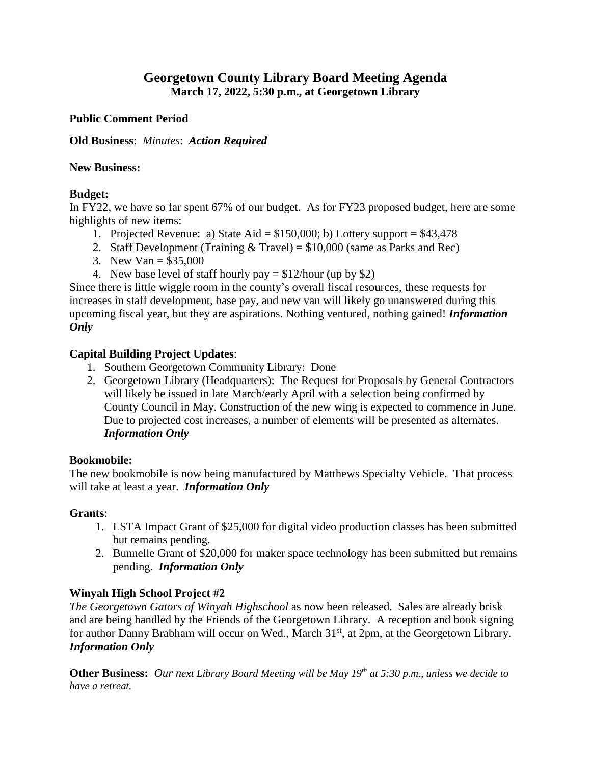# **Georgetown County Library Board Meeting Agenda March 17, 2022, 5:30 p.m., at Georgetown Library**

## **Public Comment Period**

**Old Business**: *Minutes*: *Action Required*

### **New Business:**

## **Budget:**

In FY22, we have so far spent 67% of our budget. As for FY23 proposed budget, here are some highlights of new items:

- 1. Projected Revenue: a) State Aid =  $$150,000$ ; b) Lottery support =  $$43,478$
- 2. Staff Development (Training  $& Travel$ ) = \$10,000 (same as Parks and Rec)
- 3. New Van = \$35,000
- 4. New base level of staff hourly  $pay = $12/hour (up by $2)$

Since there is little wiggle room in the county's overall fiscal resources, these requests for increases in staff development, base pay, and new van will likely go unanswered during this upcoming fiscal year, but they are aspirations. Nothing ventured, nothing gained! *Information Only*

## **Capital Building Project Updates**:

- 1. Southern Georgetown Community Library: Done
- 2. Georgetown Library (Headquarters): The Request for Proposals by General Contractors will likely be issued in late March/early April with a selection being confirmed by County Council in May. Construction of the new wing is expected to commence in June. Due to projected cost increases, a number of elements will be presented as alternates. *Information Only*

### **Bookmobile:**

The new bookmobile is now being manufactured by Matthews Specialty Vehicle. That process will take at least a year. *Information Only*

### **Grants**:

- 1. LSTA Impact Grant of \$25,000 for digital video production classes has been submitted but remains pending.
- 2. Bunnelle Grant of \$20,000 for maker space technology has been submitted but remains pending. *Information Only*

## **Winyah High School Project #2**

*The Georgetown Gators of Winyah Highschool* as now been released. Sales are already brisk and are being handled by the Friends of the Georgetown Library. A reception and book signing for author Danny Brabham will occur on Wed., March 31<sup>st</sup>, at 2pm, at the Georgetown Library. *Information Only*

**Other Business:** Our next Library Board Meeting will be May 19<sup>th</sup> at 5:30 p.m., unless we decide to *have a retreat.*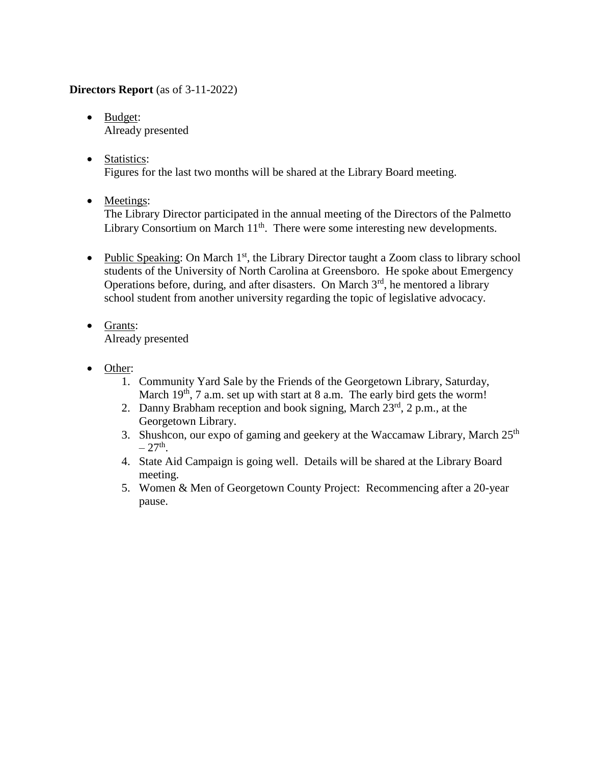## **Directors Report** (as of 3-11-2022)

- Budget: Already presented
- Statistics: Figures for the last two months will be shared at the Library Board meeting.
- Meetings:

The Library Director participated in the annual meeting of the Directors of the Palmetto Library Consortium on March  $11<sup>th</sup>$ . There were some interesting new developments.

- Public Speaking: On March  $1<sup>st</sup>$ , the Library Director taught a Zoom class to library school students of the University of North Carolina at Greensboro. He spoke about Emergency Operations before, during, and after disasters. On March  $3<sup>rd</sup>$ , he mentored a library school student from another university regarding the topic of legislative advocacy.
- Grants: Already presented
- Other:
	- 1. Community Yard Sale by the Friends of the Georgetown Library, Saturday, March  $19<sup>th</sup>$ , 7 a.m. set up with start at 8 a.m. The early bird gets the worm!
	- 2. Danny Brabham reception and book signing, March  $23<sup>rd</sup>$ , 2 p.m., at the Georgetown Library.
	- 3. Shushcon, our expo of gaming and geekery at the Waccamaw Library, March  $25<sup>th</sup>$  $-27<sup>th</sup>$ .
	- 4. State Aid Campaign is going well. Details will be shared at the Library Board meeting.
	- 5. Women & Men of Georgetown County Project: Recommencing after a 20-year pause.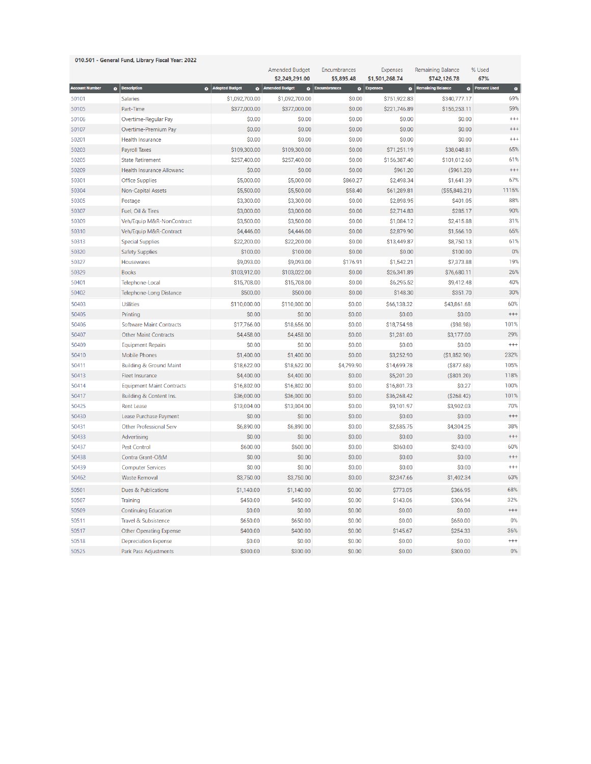| 010.501 - General Fund, Library Fiscal Year: 2022 |                                    |                             |                       |                        |                                 |                          |                                    |
|---------------------------------------------------|------------------------------------|-----------------------------|-----------------------|------------------------|---------------------------------|--------------------------|------------------------------------|
|                                                   |                                    |                             | <b>Amended Budget</b> | Encumbrances           | Expenses                        | <b>Remaining Balance</b> | % Used                             |
|                                                   |                                    |                             | \$2,249,291.00        | \$5,895.48             | \$1,501,268.74                  | \$742,126.78             | 67%                                |
| <b>Account Number</b>                             | <b>O</b> Description               | Adopted Budget<br>$\bullet$ | <b>Amended Budget</b> | $\bullet$ Encumbrances | $\bullet$ Expenses<br>$\bullet$ | <b>Remaining Balance</b> | <b>O</b> Percent Used<br>$\bullet$ |
| 50101                                             | <b>Salaries</b>                    | \$1,092,700.00              | \$1,092,700.00        | \$0.00                 | \$751,922.83                    | \$340,777.17             | 69%                                |
| 50105                                             | Part-Time                          | \$377,000.00                | \$377,000.00          | \$0.00                 | \$221,746.89                    | \$155,253.11             | 59%                                |
| 50106                                             | Overtime-Regular Pay               | \$0.00                      | \$0.00                | \$0.00                 | \$0.00                          | \$0.00                   | $^{++}$                            |
| 50107                                             | Overtime-Premium Pay               | \$0.00                      | \$0.00                | \$0.00                 | \$0.00                          | \$0.00                   | $^{+++}$                           |
| 50201                                             | Health Insurance                   | \$0.00                      | \$0.00                | \$0.00                 | \$0.00                          | \$0.00                   | $^{+++}$                           |
| 50203                                             | Payroll Taxes                      | \$109,300.00                | \$109,300.00          | \$0.00                 | \$71,251.19                     | \$38,048.81              | 65%                                |
| 50205                                             | <b>State Retirement</b>            | \$257,400.00                | \$257,400.00          | \$0.00                 | \$156,387.40                    | \$101,012.60             | 61%                                |
| 50209                                             | <b>Health Insurance Allowanc</b>   | \$0.00                      | \$0.00                | \$0.00                 | \$961.20                        | ( \$961.20)              | $^{+++}$                           |
| 50301                                             | <b>Office Supplies</b>             | \$5,000.00                  | \$5,000.00            | \$860.27               | \$2,498.34                      | \$1,641.39               | 67%                                |
| 50304                                             | Non-Capital Assets                 | \$5,500.00                  | \$5,500.00            | \$58.40                | \$61,289.81                     | (S55, 848, 21)           | 1115%                              |
| 50305                                             | Postage                            | \$3,300.00                  | \$3,300.00            | \$0.00                 | \$2,898.95                      | \$401.05                 | 88%                                |
| 50307                                             | Fuel, Oil & Tires                  | \$3,000.00                  | \$3,000.00            | \$0.00                 | \$2,714.83                      | \$285.17                 | 90%                                |
| 50309                                             | Veh/Equip M&R-NonContract          | \$3,500.00                  | \$3,500.00            | \$0.00                 | \$1,084.12                      | \$2,415.88               | 31%                                |
| 50310                                             | Veh/Equip M&R-Contract             | \$4,446.00                  | \$4,446.00            | \$0.00                 | \$2,879.90                      | \$1,566.10               | 65%                                |
| 50313                                             | <b>Special Supplies</b>            | \$22,200.00                 | \$22,200.00           | \$0.00                 | \$13,449.87                     | \$8,750.13               | 61%                                |
| 50320                                             | <b>Safety Supplies</b>             | \$100.00                    | \$100.00              | \$0.00                 | \$0.00                          | \$100.00                 | 0%                                 |
| 50327                                             | Housewares                         | \$9,093.00                  | \$9,093.00            | \$176.91               | \$1,542.21                      | \$7,373.88               | 19%                                |
| 50329                                             | <b>Books</b>                       | \$103,912.00                | \$103,022.00          | \$0.00                 | \$26,341.89                     | \$76,680.11              | 26%                                |
| 50401                                             | Telephone-Local                    | \$15,708.00                 | \$15,708.00           | \$0.00                 | \$6,295.52                      | \$9,412.48               | 40%                                |
| 50402                                             | Telephone-Long Distance            | \$500.00                    | \$500.00              | \$0.00                 | \$148.30                        | \$351.70                 | 30%                                |
| 50403                                             | <b>Utilities</b>                   | \$110,000.00                | \$110,000.00          | \$0.00                 | \$66,138.32                     | \$43,861.68              | 60%                                |
| 50405                                             | Printing                           | \$0.00                      | \$0.00                | \$0.00                 | \$0.00                          | \$0.00                   | $^{+++}$                           |
| 50406                                             | <b>Software Maint Contracts</b>    | \$17,766.00                 | \$18,656.00           | \$0.00                 | \$18,754.98                     | (S98.98)                 | 101%                               |
| 50407                                             | <b>Other Maint Contracts</b>       | \$4,458.00                  | \$4,458.00            | \$0.00                 | \$1,281.00                      | \$3,177.00               | 29%                                |
| 50409                                             | <b>Equipment Repairs</b>           | \$0.00                      | \$0.00                | \$0.00                 | \$0.00                          | \$0.00                   | $^{+++}$                           |
| 50410                                             | Mobile Phones                      | \$1,400.00                  | \$1,400.00            | \$0.00                 | \$3,252.90                      | (\$1,852.90)             | 232%                               |
| 50411                                             | <b>Building &amp; Ground Maint</b> | \$18,622.00                 | \$18,622.00           | \$4,799.90             | \$14,699.78                     | (S877.68)                | 105%                               |
| 50413                                             | <b>Fleet Insurance</b>             | \$4,400.00                  | \$4,400.00            | \$0.00                 | \$5,201.20                      | (S801.20)                | 118%                               |
| 50414                                             | <b>Equipment Maint Contracts</b>   | \$16,802.00                 | \$16,802.00           | \$0.00                 | \$16,801.73                     | \$0.27                   | 100%                               |
| 50417                                             | Building & Content Ins.            | \$36,000.00                 | \$36,000.00           | \$0.00                 | \$36,268.42                     | (S268.42)                | 101%                               |
| 50425                                             | <b>Rent Lease</b>                  | \$13,004.00                 | \$13,004.00           | \$0.00                 | \$9,101.97                      | \$3,902.03               | 70%                                |
| 50430                                             | Lease Purchase Payment             | \$0.00                      | \$0.00                | \$0.00                 | \$0.00                          | \$0.00                   | $^{+++}$                           |
| 50431                                             | <b>Other Professional Serv</b>     | \$6,890.00                  | \$6,890.00            | \$0.00                 | \$2,585.75                      | \$4,304.25               | 38%                                |
| 50433                                             | Advertising                        | \$0.00                      | \$0.00                | \$0.00                 | \$0.00                          | \$0.00                   | $^{+++}$                           |
| 50437                                             | Pest Control                       | \$600.00                    | \$600.00              | \$0.00                 | \$360.00                        | \$240.00                 | 60%                                |
| 50438                                             | Contra Grant-O&M                   | \$0.00                      | \$0.00                | \$0.00                 | \$0.00                          | \$0.00                   | $^{+++}$                           |
| 50439                                             | <b>Computer Services</b>           | \$0.00                      | \$0.00                | \$0.00                 | \$0.00                          | \$0.00                   | $^{+++}$                           |
| 50462                                             | <b>Waste Removal</b>               | \$3,750.00                  | \$3,750.00            | \$0.00                 | \$2,347.66                      | \$1,402.34               | 63%                                |
| 50501                                             | Dues & Publications                | \$1,140.00                  | \$1,140.00            | \$0.00                 | \$773.05                        | \$366.95                 | 68%                                |
| 50507                                             | Training                           | \$450.00                    | \$450.00              | \$0.00                 | \$143.06                        | \$306.94                 | 32%                                |
| 50509                                             | <b>Continuing Education</b>        | \$0.00                      | \$0.00                | \$0.00                 | \$0.00                          | \$0.00                   | $^{++}$                            |
| 50511                                             | Travel & Subsistence               | \$650.00                    | \$650.00              | \$0.00                 | \$0.00                          | \$650.00                 | 0%                                 |
| 50517                                             | <b>Other Operating Expense</b>     | \$400.00                    | \$400.00              | \$0.00                 | \$145.67                        | \$254.33                 | 36%                                |
| 50518                                             | <b>Depreciation Expense</b>        | \$0.00                      | \$0.00                | \$0.00                 | \$0.00                          | \$0.00                   | $^{++}$                            |
| 50525                                             |                                    | \$300.00                    | \$300.00              | \$0.00                 | \$0.00                          | \$300.00                 | 0%                                 |
|                                                   | Park Pass Adjustments              |                             |                       |                        |                                 |                          |                                    |